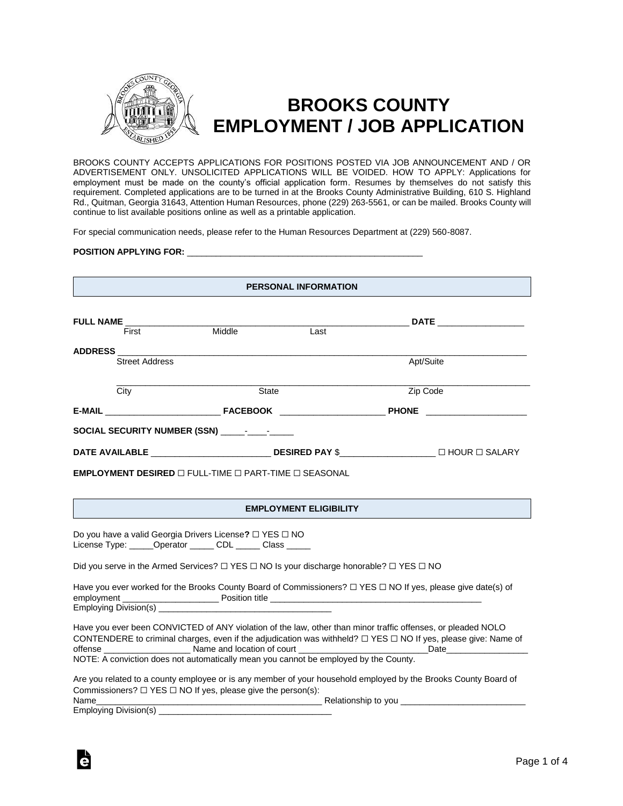

# **BROOKS COUNTY EMPLOYMENT / JOB APPLICATION**

BROOKS COUNTY ACCEPTS APPLICATIONS FOR POSITIONS POSTED VIA JOB ANNOUNCEMENT AND / OR ADVERTISEMENT ONLY. UNSOLICITED APPLICATIONS WILL BE VOIDED. HOW TO APPLY: Applications for employment must be made on the county's official application form. Resumes by themselves do not satisfy this requirement. Completed applications are to be turned in at the Brooks County Administrative Building, 610 S. Highland Rd., Quitman, Georgia 31643, Attention Human Resources, phone (229) 263-5561, or can be mailed. Brooks County will continue to list available positions online as well as a printable application.

For special communication needs, please refer to the Human Resources Department at (229) 560-8087.

### **POSITION APPLYING FOR:** \_\_\_\_\_\_\_\_\_\_\_\_\_\_\_\_\_\_\_\_\_\_\_\_\_\_\_\_\_\_\_\_\_\_\_\_\_\_\_\_\_\_\_\_\_\_\_\_\_

#### **PERSONAL INFORMATION**

|                 |                       |              |                                              | <b>DATE Example 20</b> |                           |
|-----------------|-----------------------|--------------|----------------------------------------------|------------------------|---------------------------|
|                 | First                 | Middle       | Last                                         |                        |                           |
| <b>ADDRESS</b>  |                       |              |                                              |                        |                           |
|                 | <b>Street Address</b> |              |                                              | Apt/Suite              |                           |
|                 | City                  | <b>State</b> |                                              | Zip Code               |                           |
| E-MAIL FACEBOOK |                       |              | the control of the control of the control of |                        | <b>PHONE Example 2008</b> |
|                 |                       |              |                                              |                        |                           |
|                 |                       |              |                                              |                        |                           |

**EMPLOYMENT DESIRED** ☐ FULL-TIME ☐ PART-TIME ☐ SEASONAL

## **EMPLOYMENT ELIGIBILITY**

Do you have a valid Georgia Drivers License**?** ☐ YES ☐ NO License Type: \_\_\_\_\_\_Operator \_\_\_\_\_\_ CDL \_\_\_\_\_\_ Class

Did you serve in the Armed Services?  $□$  YES  $□$  NO Is your discharge honorable?  $□$  YES  $□$  NO

|                       | Have you ever worked for the Brooks County Board of Commissioners? $\Box$ YES $\Box$ NO If yes, please give date(s) of |
|-----------------------|------------------------------------------------------------------------------------------------------------------------|
| employment            | Position title                                                                                                         |
| Employing Division(s) |                                                                                                                        |

Have you ever been CONVICTED of ANY violation of the law, other than minor traffic offenses, or pleaded NOLO CONTENDERE to criminal charges, even if the adjudication was withheld? ☐ YES ☐ NO If yes, please give: Name of offense \_\_\_\_\_\_\_\_\_\_\_\_\_\_\_\_\_\_ Name and location of court \_\_\_\_\_\_\_\_\_\_\_\_\_\_\_\_\_\_\_\_\_\_\_\_\_\_\_Date\_\_\_\_\_\_\_\_\_\_\_\_\_\_\_\_\_ NOTE: A conviction does not automatically mean you cannot be employed by the County.

| Are you related to a county employee or is any member of your household employed by the Brooks County Board of |                     |
|----------------------------------------------------------------------------------------------------------------|---------------------|
| Commissioners? $\Box$ YES $\Box$ NO If yes, please give the person(s):                                         |                     |
| Name                                                                                                           | Relationship to you |

Employing Division(s) \_\_\_\_\_

Ġ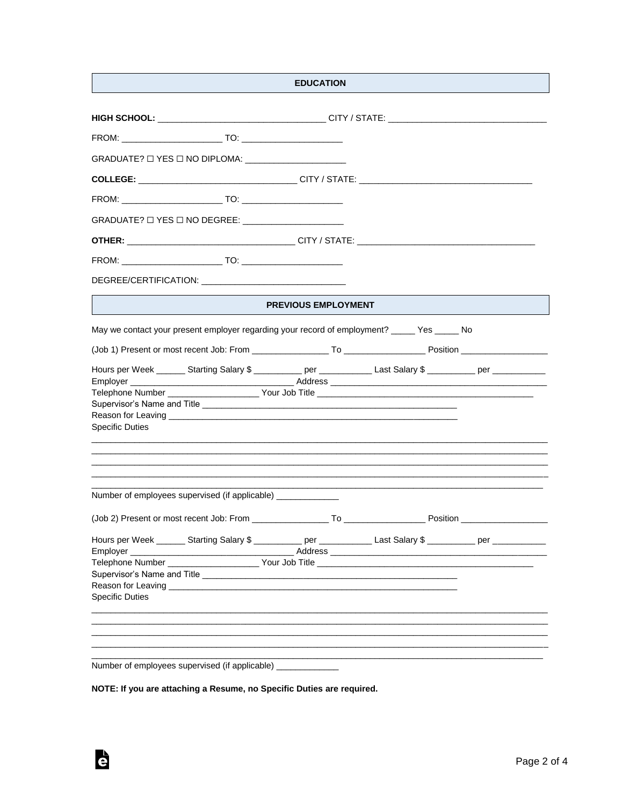|                                                                                                                                                                                                                                                          | <b>EDUCATION</b>           |  |  |
|----------------------------------------------------------------------------------------------------------------------------------------------------------------------------------------------------------------------------------------------------------|----------------------------|--|--|
| HIGH SCHOOL: __________________________________CITY / STATE: ___________________________                                                                                                                                                                 |                            |  |  |
|                                                                                                                                                                                                                                                          |                            |  |  |
|                                                                                                                                                                                                                                                          |                            |  |  |
|                                                                                                                                                                                                                                                          |                            |  |  |
|                                                                                                                                                                                                                                                          |                            |  |  |
|                                                                                                                                                                                                                                                          |                            |  |  |
| GRADUATE? $\Box$ YES $\Box$ NO DEGREE: _________________________                                                                                                                                                                                         |                            |  |  |
|                                                                                                                                                                                                                                                          |                            |  |  |
|                                                                                                                                                                                                                                                          |                            |  |  |
| DEGREE/CERTIFICATION: Network and the contract of the contract of the contract of the contract of the contract of the contract of the contract of the contract of the contract of the contract of the contract of the contract                           |                            |  |  |
|                                                                                                                                                                                                                                                          | <b>PREVIOUS EMPLOYMENT</b> |  |  |
| May we contact your present employer regarding your record of employment? _____ Yes _____ No                                                                                                                                                             |                            |  |  |
|                                                                                                                                                                                                                                                          |                            |  |  |
| Hours per Week _______ Starting Salary \$ __________ per ____________ Last Salary \$ __________ per ___________                                                                                                                                          |                            |  |  |
|                                                                                                                                                                                                                                                          |                            |  |  |
|                                                                                                                                                                                                                                                          |                            |  |  |
|                                                                                                                                                                                                                                                          |                            |  |  |
| Reason for Leaving the contract of the contract of the contract of the contract of the contract of the contract of the contract of the contract of the contract of the contract of the contract of the contract of the contrac<br><b>Specific Duties</b> |                            |  |  |
| ,我们也不能在这里的时候,我们也不能在这里的时候,我们也不能会在这里的时候,我们也不能会在这里的时候,我们也不能会在这里的时候,我们也不能会在这里的时候,我们也不                                                                                                                                                                        |                            |  |  |
| Number of employees supervised (if applicable) ____________                                                                                                                                                                                              |                            |  |  |
|                                                                                                                                                                                                                                                          |                            |  |  |
| Hours per Week _______ Starting Salary \$ ___________ per ____________ Last Salary \$ _________ per ___________                                                                                                                                          |                            |  |  |
|                                                                                                                                                                                                                                                          |                            |  |  |
|                                                                                                                                                                                                                                                          |                            |  |  |
|                                                                                                                                                                                                                                                          |                            |  |  |
|                                                                                                                                                                                                                                                          |                            |  |  |
| <b>Specific Duties</b>                                                                                                                                                                                                                                   |                            |  |  |
|                                                                                                                                                                                                                                                          |                            |  |  |
|                                                                                                                                                                                                                                                          |                            |  |  |
|                                                                                                                                                                                                                                                          |                            |  |  |
| Number of employees supervised (if applicable) _________                                                                                                                                                                                                 |                            |  |  |

NOTE: If you are attaching a Resume, no Specific Duties are required.

è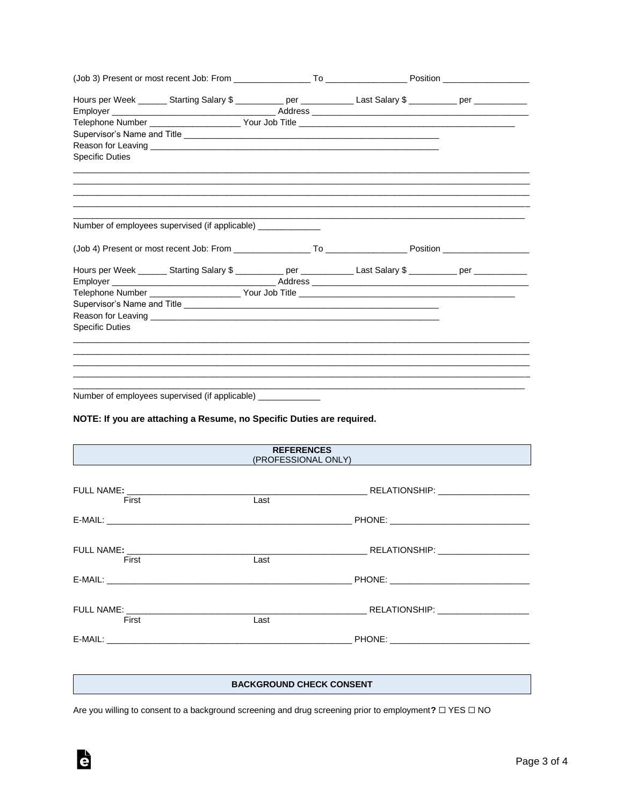|                                                                       |  |  |  | Hours per Week ______ Starting Salary \$ __________ per ___________ Last Salary \$ _________ per __________           |  |  |
|-----------------------------------------------------------------------|--|--|--|-----------------------------------------------------------------------------------------------------------------------|--|--|
|                                                                       |  |  |  |                                                                                                                       |  |  |
|                                                                       |  |  |  |                                                                                                                       |  |  |
|                                                                       |  |  |  |                                                                                                                       |  |  |
|                                                                       |  |  |  |                                                                                                                       |  |  |
| <b>Specific Duties</b>                                                |  |  |  | <u> 1989 - John Harry Harry Harry Harry Harry Harry Harry Harry Harry Harry Harry Harry Harry Harry Harry Harry H</u> |  |  |
|                                                                       |  |  |  | ,我们也不能会在这里,我们的人们就会在这里,我们也不能会在这里,我们也不能会在这里,我们也不能会在这里,我们也不能会在这里,我们也不能会不能会不能会。""我们,我                                     |  |  |
| Number of employees supervised (if applicable)                        |  |  |  | <u> 1989 - Johann Stoff, amerikansk politiker (d. 1989)</u>                                                           |  |  |
|                                                                       |  |  |  |                                                                                                                       |  |  |
|                                                                       |  |  |  | Hours per Week _______ Starting Salary \$ ___________ per ____________ Last Salary \$ _________ per ___________       |  |  |
|                                                                       |  |  |  |                                                                                                                       |  |  |
|                                                                       |  |  |  |                                                                                                                       |  |  |
|                                                                       |  |  |  |                                                                                                                       |  |  |
|                                                                       |  |  |  |                                                                                                                       |  |  |
| <b>Specific Duties</b>                                                |  |  |  |                                                                                                                       |  |  |
|                                                                       |  |  |  |                                                                                                                       |  |  |
|                                                                       |  |  |  |                                                                                                                       |  |  |
|                                                                       |  |  |  |                                                                                                                       |  |  |
| Number of employees supervised (if applicable)                        |  |  |  |                                                                                                                       |  |  |
| NOTE: If you are attaching a Resume, no Specific Duties are required. |  |  |  |                                                                                                                       |  |  |

| <b>REFERENCES</b><br>(PROFESSIONAL ONLY) |                                 |  |  |  |
|------------------------------------------|---------------------------------|--|--|--|
| First                                    | Last                            |  |  |  |
| First                                    | Last                            |  |  |  |
| First                                    | Last                            |  |  |  |
|                                          | <b>BACKGROUND CHECK CONSENT</b> |  |  |  |

Are you willing to consent to a background screening and drug screening prior to employment?  $\Box$  YES  $\Box$  NO